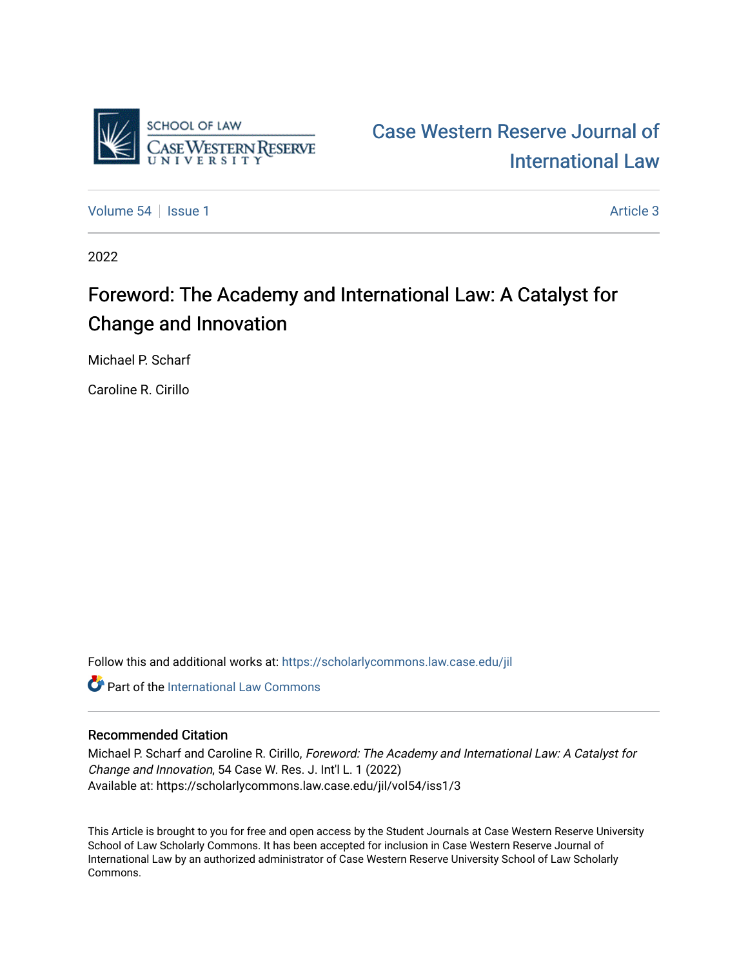

[Case Western Reserve Journal of](https://scholarlycommons.law.case.edu/jil)  [International Law](https://scholarlycommons.law.case.edu/jil) 

[Volume 54](https://scholarlycommons.law.case.edu/jil/vol54) | [Issue 1](https://scholarlycommons.law.case.edu/jil/vol54/iss1) Article 3

2022

# Foreword: The Academy and International Law: A Catalyst for Change and Innovation

Michael P. Scharf

Caroline R. Cirillo

Follow this and additional works at: [https://scholarlycommons.law.case.edu/jil](https://scholarlycommons.law.case.edu/jil?utm_source=scholarlycommons.law.case.edu%2Fjil%2Fvol54%2Fiss1%2F3&utm_medium=PDF&utm_campaign=PDFCoverPages) 

**C** Part of the International Law Commons

### Recommended Citation

Michael P. Scharf and Caroline R. Cirillo, Foreword: The Academy and International Law: A Catalyst for Change and Innovation, 54 Case W. Res. J. Int'l L. 1 (2022) Available at: https://scholarlycommons.law.case.edu/jil/vol54/iss1/3

This Article is brought to you for free and open access by the Student Journals at Case Western Reserve University School of Law Scholarly Commons. It has been accepted for inclusion in Case Western Reserve Journal of International Law by an authorized administrator of Case Western Reserve University School of Law Scholarly Commons.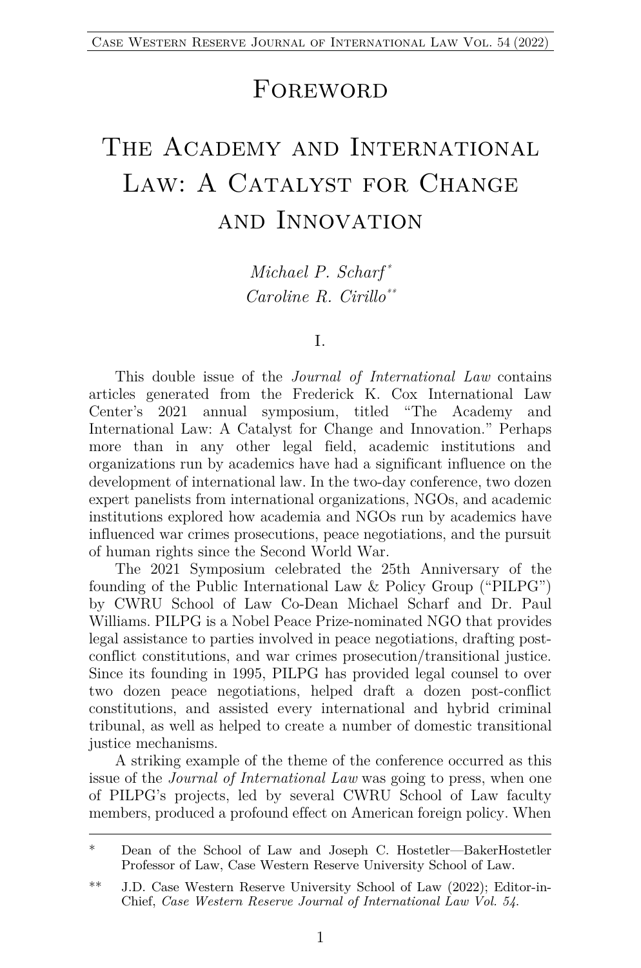## FOREWORD

# The Academy and International LAW: A CATALYST FOR CHANGE and Innovation

*Michael P. Scharf \* Caroline R. Cirillo\*\**

#### I.

This double issue of the *Journal of International Law* contains articles generated from the Frederick K. Cox International Law Center's 2021 annual symposium, titled "The Academy and International Law: A Catalyst for Change and Innovation." Perhaps more than in any other legal field, academic institutions and organizations run by academics have had a significant influence on the development of international law. In the two-day conference, two dozen expert panelists from international organizations, NGOs, and academic institutions explored how academia and NGOs run by academics have influenced war crimes prosecutions, peace negotiations, and the pursuit of human rights since the Second World War.

The 2021 Symposium celebrated the 25th Anniversary of the founding of the Public International Law & Policy Group ("PILPG") by CWRU School of Law Co-Dean Michael Scharf and Dr. Paul Williams. PILPG is a Nobel Peace Prize-nominated NGO that provides legal assistance to parties involved in peace negotiations, drafting postconflict constitutions, and war crimes prosecution/transitional justice. Since its founding in 1995, PILPG has provided legal counsel to over two dozen peace negotiations, helped draft a dozen post-conflict constitutions, and assisted every international and hybrid criminal tribunal, as well as helped to create a number of domestic transitional justice mechanisms.

A striking example of the theme of the conference occurred as this issue of the *Journal of International Law* was going to press, when one of PILPG's projects, led by several CWRU School of Law faculty members, produced a profound effect on American foreign policy. When

<sup>\*</sup> Dean of the School of Law and Joseph C. Hostetler—BakerHostetler Professor of Law, Case Western Reserve University School of Law.

<sup>\*\*</sup> J.D. Case Western Reserve University School of Law (2022); Editor-in-Chief, *Case Western Reserve Journal of International Law Vol. 54*.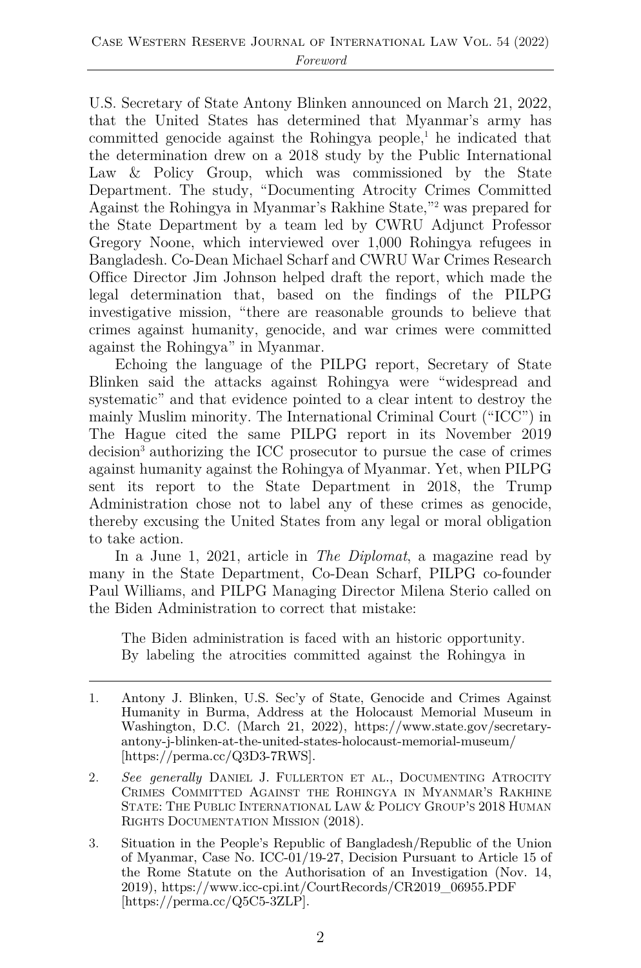U.S. Secretary of State Antony Blinken announced on March 21, 2022, that the United States has determined that Myanmar's army has committed genocide against the Rohingya people, <sup>1</sup> he indicated that the determination drew on a 2018 study by the Public International Law & Policy Group, which was commissioned by the State Department. The study, "Documenting Atrocity Crimes Committed Against the Rohingya in Myanmar's Rakhine State,"2 was prepared for the State Department by a team led by CWRU Adjunct Professor Gregory Noone, which interviewed over 1,000 Rohingya refugees in Bangladesh. Co-Dean Michael Scharf and CWRU War Crimes Research Office Director Jim Johnson helped draft the report, which made the legal determination that, based on the findings of the PILPG investigative mission, "there are reasonable grounds to believe that crimes against humanity, genocide, and war crimes were committed against the Rohingya" in Myanmar.

Echoing the language of the PILPG report, Secretary of State Blinken said the attacks against Rohingya were "widespread and systematic" and that evidence pointed to a clear intent to destroy the mainly Muslim minority. The International Criminal Court ("ICC") in The Hague cited the same PILPG report in its November 2019 decision<sup>3</sup> authorizing the ICC prosecutor to pursue the case of crimes against humanity against the Rohingya of Myanmar. Yet, when PILPG sent its report to the State Department in 2018, the Trump Administration chose not to label any of these crimes as genocide, thereby excusing the United States from any legal or moral obligation to take action.

In a June 1, 2021, article in *The Diplomat*, a magazine read by many in the State Department, Co-Dean Scharf, PILPG co-founder Paul Williams, and PILPG Managing Director Milena Sterio called on the Biden Administration to correct that mistake:

The Biden administration is faced with an historic opportunity. By labeling the atrocities committed against the Rohingya in

<sup>1.</sup> Antony J. Blinken, U.S. Sec'y of State, Genocide and Crimes Against Humanity in Burma, Address at the Holocaust Memorial Museum in Washington, D.C. (March 21, 2022), https://www.state.gov/secretaryantony-j-blinken-at-the-united-states-holocaust-memorial-museum/ [https://perma.cc/Q3D3-7RWS].

<sup>2.</sup> *See generally* DANIEL J. FULLERTON ET AL., DOCUMENTING ATROCITY CRIMES COMMITTED AGAINST THE ROHINGYA IN MYANMAR'S RAKHINE STATE: THE PUBLIC INTERNATIONAL LAW & POLICY GROUP'S 2018 HUMAN RIGHTS DOCUMENTATION MISSION (2018).

<sup>3.</sup> Situation in the People's Republic of Bangladesh/Republic of the Union of Myanmar, Case No. ICC-01/19-27, Decision Pursuant to Article 15 of the Rome Statute on the Authorisation of an Investigation (Nov. 14, 2019), https://www.icc-cpi.int/CourtRecords/CR2019\_06955.PDF [https://perma.cc/Q5C5-3ZLP].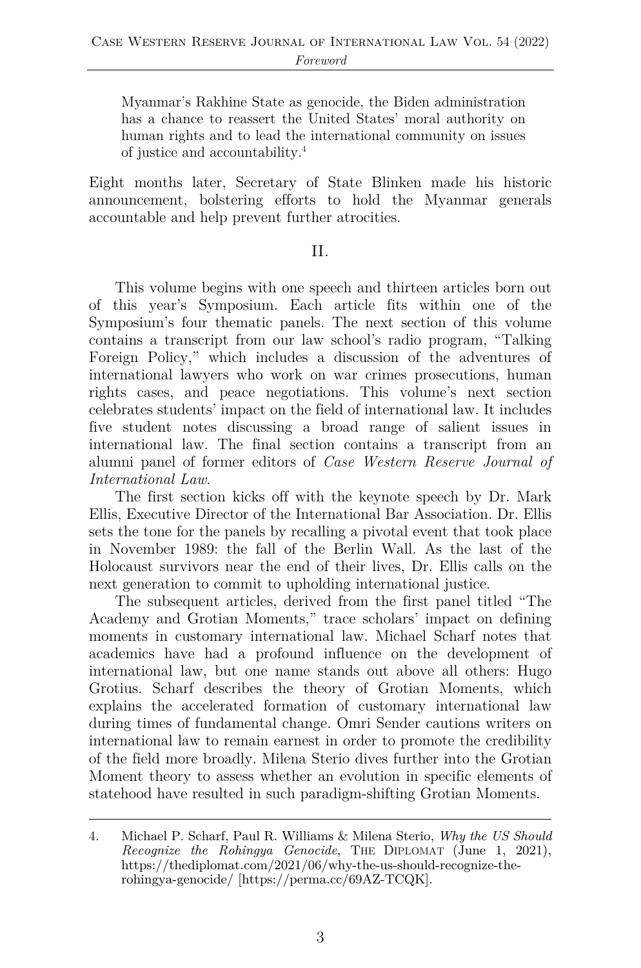Myanmar's Rakhine State as genocide, the Biden administration has a chance to reassert the United States' moral authority on human rights and to lead the international community on issues of justice and accountability. 4

Eight months later, Secretary of State Blinken made his historic announcement, bolstering efforts to hold the Myanmar generals accountable and help prevent further atrocities.

### II.

This volume begins with one speech and thirteen articles born out of this year's Symposium. Each article fits within one of the Symposium's four thematic panels. The next section of this volume contains a transcript from our law school's radio program, "Talking Foreign Policy," which includes a discussion of the adventures of international lawyers who work on war crimes prosecutions, human rights cases, and peace negotiations. This volume's next section celebrates students' impact on the field of international law. It includes five student notes discussing a broad range of salient issues in international law. The final section contains a transcript from an alumni panel of former editors of *Case Western Reserve Journal of International Law*.

The first section kicks off with the keynote speech by Dr. Mark Ellis, Executive Director of the International Bar Association. Dr. Ellis sets the tone for the panels by recalling a pivotal event that took place in November 1989: the fall of the Berlin Wall. As the last of the Holocaust survivors near the end of their lives, Dr. Ellis calls on the next generation to commit to upholding international justice.

The subsequent articles, derived from the first panel titled "The Academy and Grotian Moments," trace scholars' impact on defining moments in customary international law. Michael Scharf notes that academics have had a profound influence on the development of international law, but one name stands out above all others: Hugo Grotius. Scharf describes the theory of Grotian Moments, which explains the accelerated formation of customary international law during times of fundamental change. Omri Sender cautions writers on international law to remain earnest in order to promote the credibility of the field more broadly. Milena Sterio dives further into the Grotian Moment theory to assess whether an evolution in specific elements of statehood have resulted in such paradigm-shifting Grotian Moments.

<sup>4.</sup> Michael P. Scharf, Paul R. Williams & Milena Sterio, *Why the US Should Recognize the Rohingya Genocide*, THE DIPLOMAT (June 1, 2021), https://thediplomat.com/2021/06/why-the-us-should-recognize-therohingya-genocide/ [https://perma.cc/69AZ-TCQK].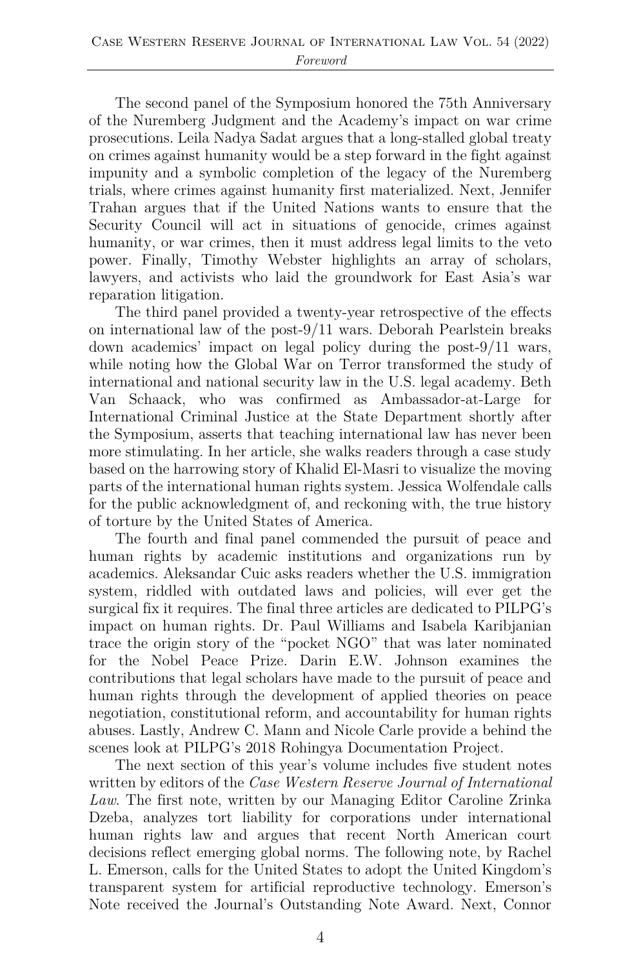The second panel of the Symposium honored the 75th Anniversary of the Nuremberg Judgment and the Academy's impact on war crime prosecutions. Leila Nadya Sadat argues that a long-stalled global treaty on crimes against humanity would be a step forward in the fight against impunity and a symbolic completion of the legacy of the Nuremberg trials, where crimes against humanity first materialized. Next, Jennifer Trahan argues that if the United Nations wants to ensure that the Security Council will act in situations of genocide, crimes against humanity, or war crimes, then it must address legal limits to the veto power. Finally, Timothy Webster highlights an array of scholars, lawyers, and activists who laid the groundwork for East Asia's war reparation litigation.

The third panel provided a twenty-year retrospective of the effects on international law of the post-9/11 wars. Deborah Pearlstein breaks down academics' impact on legal policy during the post-9/11 wars, while noting how the Global War on Terror transformed the study of international and national security law in the U.S. legal academy. Beth Van Schaack, who was confirmed as Ambassador-at-Large for International Criminal Justice at the State Department shortly after the Symposium, asserts that teaching international law has never been more stimulating. In her article, she walks readers through a case study based on the harrowing story of Khalid El-Masri to visualize the moving parts of the international human rights system. Jessica Wolfendale calls for the public acknowledgment of, and reckoning with, the true history of torture by the United States of America.

The fourth and final panel commended the pursuit of peace and human rights by academic institutions and organizations run by academics. Aleksandar Cuic asks readers whether the U.S. immigration system, riddled with outdated laws and policies, will ever get the surgical fix it requires. The final three articles are dedicated to PILPG's impact on human rights. Dr. Paul Williams and Isabela Karibjanian trace the origin story of the "pocket NGO" that was later nominated for the Nobel Peace Prize. Darin E.W. Johnson examines the contributions that legal scholars have made to the pursuit of peace and human rights through the development of applied theories on peace negotiation, constitutional reform, and accountability for human rights abuses. Lastly, Andrew C. Mann and Nicole Carle provide a behind the scenes look at PILPG's 2018 Rohingya Documentation Project.

The next section of this year's volume includes five student notes written by editors of the *Case Western Reserve Journal of International Law*. The first note, written by our Managing Editor Caroline Zrinka Dzeba, analyzes tort liability for corporations under international human rights law and argues that recent North American court decisions reflect emerging global norms. The following note, by Rachel L. Emerson, calls for the United States to adopt the United Kingdom's transparent system for artificial reproductive technology. Emerson's Note received the Journal's Outstanding Note Award. Next, Connor